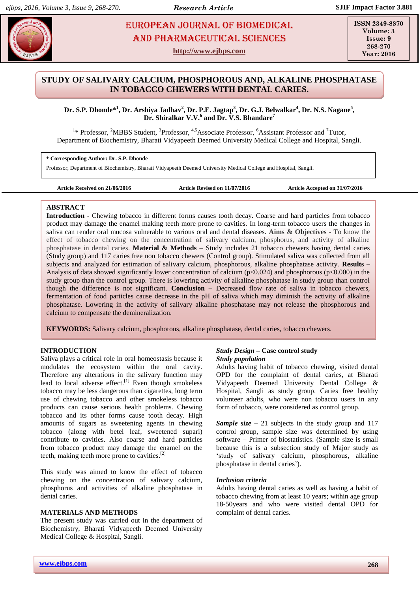# **DROPEAN JOURNAL OF BIOMEDICAL AND SEX 234** AND Pharmaceutical sciences

**http://www.ejbps.com**

**ISSN 2349-8870 Volume: 3 Issue: 9 268-270 Year: 2016**

## **STUDY OF SALIVARY CALCIUM, PHOSPHOROUS AND, ALKALINE PHOSPHATASE IN TOBACCO CHEWERS WITH DENTAL CARIES.**

**Dr. S.P. Dhonde\* 1 , Dr. Arshiya Jadhav<sup>2</sup> , Dr. P.E. Jagtap<sup>3</sup> , Dr. G.J. Belwalkar<sup>4</sup> , Dr. N.S. Nagane<sup>5</sup> , Dr. Shiralkar V.V.<sup>6</sup> and Dr. V.S. Bhandare<sup>7</sup>**

<sup>1</sup>\* Professor, <sup>2</sup>MBBS Student, <sup>3</sup>Professor, <sup>4,5</sup>Associate Professor, <sup>6</sup>Assistant Professor and <sup>7</sup>Tutor, Department of Biochemistry, Bharati Vidyapeeth Deemed University Medical College and Hospital, Sangli.

**\* Corresponding Author: Dr. S.P. Dhonde**

Professor, Department of Biochemistry, Bharati Vidyapeeth Deemed University Medical College and Hospital, Sangli.

```
Article Received on 21/06/2016 Article Revised on 11/07/2016 Article Accepted on 31/07/2016
```
## **ABSTRACT**

**Introduction** - Chewing tobacco in different forms causes tooth decay. Coarse and hard particles from tobacco product ma**y** damage the enamel making teeth more prone to cavities. In long-term tobacco users the changes in saliva can render oral mucosa vulnerable to various oral and dental diseases. **Aims & Objectives -** To know the effect of tobacco chewing on the concentration of salivary calcium, phosphorus, and activity of alkaline phosphatase in dental caries. **Material & Methods** – Study includes 21 tobacco chewers having dental caries (Study group) and 117 caries free non tobacco chewers (Control group). Stimulated saliva was collected from all subjects and analyzed for estimation of salivary calcium, phosphorous, alkaline phosphatase activity. **Results** – Analysis of data showed significantly lower concentration of calcium ( $p<0.024$ ) and phosphorous ( $p<0.000$ ) in the study group than the control group. There is lowering activity of alkaline phosphatase in study group than control though the difference is not significant. **Conclusion** – Decreased flow rate of saliva in tobacco chewers, fermentation of food particles cause decrease in the pH of saliva which may diminish the activity of alkaline phosphatase. Lowering in the activity of salivary alkaline phosphatase may not release the phosphorous and calcium to compensate the demineralization.

**KEYWORDS:** Salivary calcium, phosphorous, alkaline phosphatase, dental caries, tobacco chewers.

## **INTRODUCTION**

Saliva plays a critical role in oral homeostasis because it modulates the ecosystem within the oral cavity. Therefore any alterations in the salivary function may lead to local adverse effect.<sup>[1]</sup> Even though smokeless tobacco may be less dangerous than cigarettes, long term use of chewing tobacco and other smokeless tobacco products can cause serious health problems. Chewing tobacco and its other forms cause tooth decay. High amounts of sugars as sweetening agents in chewing tobacco (along with betel leaf, sweetened supari) contribute to cavities. Also coarse and hard particles from tobacco product may damage the enamel on the teeth, making teeth more prone to cavities.<sup>[2]</sup>

This study was aimed to know the effect of tobacco chewing on the concentration of salivary calcium, phosphorus and activities of alkaline phosphatase in dental caries.

## **MATERIALS AND METHODS**

The present study was carried out in the department of Biochemistry, Bharati Vidyapeeth Deemed University Medical College & Hospital, Sangli.

## *Study Design* **– Case control study** *Study population*

Adults having habit of tobacco chewing, visited dental OPD for the complaint of dental caries, at Bharati Vidyapeeth Deemed University Dental College & Hospital, Sangli as study group. Caries free healthy volunteer adults, who were non tobacco users in any form of tobacco, were considered as control group.

*Sample size* **–** 21 subjects in the study group and 117 control group, sample size was determined by using software – Primer of biostatistics. (Sample size is small because this is a subsection study of Major study as 'study of salivary calcium, phosphorous, alkaline phosphatase in dental caries').

## *Inclusion criteria*

Adults having dental caries as well as having a habit of tobacco chewing from at least 10 years; within age group 18-50years and who were visited dental OPD for complaint of dental caries.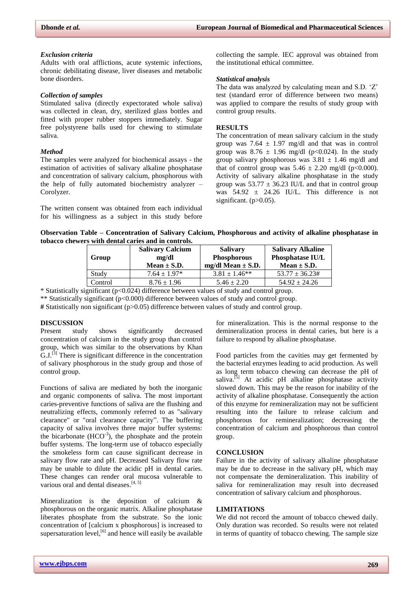#### *Exclusion criteria*

Adults with oral afflictions, acute systemic infections, chronic debilitating disease, liver diseases and metabolic bone disorders.

#### *Collection of samples*

Stimulated saliva (directly expectorated whole saliva) was collected in clean, dry, sterilized glass bottles and fitted with proper rubber stoppers immediately. Sugar free polystyrene balls used for chewing to stimulate saliva.

### *Method*

The samples were analyzed for biochemical assays - the estimation of activities of salivary alkaline phosphatase and concentration of salivary calcium, phosphorous with the help of fully automated biochemistry analyzer – Corolyzer.

The written consent was obtained from each individual for his willingness as a subject in this study before collecting the sample. IEC approval was obtained from the institutional ethical committee.

#### *Statistical analysis*

The data was analyzed by calculating mean and S.D. 'Z' test (standard error of difference between two means) was applied to compare the results of study group with control group results.

#### **RESULTS**

The concentration of mean salivary calcium in the study group was 7.64  $\pm$  1.97 mg/dl and that was in control group was  $8.76 \pm 1.96$  mg/dl (p<0.024). In the study group salivary phosphorous was  $3.81 \pm 1.46$  mg/dl and that of control group was  $5.46 \pm 2.20$  mg/dl (p<0.000). Activity of salivary alkaline phosphatase in the study group was  $53.77 \pm 36.23$  IU/L and that in control group was  $54.92 \pm 24.26$  IU/L. This difference is not significant.  $(p>0.05)$ .

| Observation Table – Concentration of Salivary Calcium, Phosphorous and activity of alkaline phosphatase in |  |
|------------------------------------------------------------------------------------------------------------|--|
| tobacco chewers with dental caries and in controls.                                                        |  |

| Group   | <b>Salivary Calcium</b><br>mg/dl<br>Mean $\pm$ S.D. | <b>Salivary</b><br><b>Phosphorous</b><br>mg/dl Mean $\pm$ S.D. | <b>Salivary Alkaline</b><br>Phosphatase IU/L<br>Mean $\pm$ S.D. |
|---------|-----------------------------------------------------|----------------------------------------------------------------|-----------------------------------------------------------------|
| Study   | $7.64 \pm 1.97*$                                    | $3.81 \pm 1.46**$                                              | $53.77 + 36.23\#$                                               |
| Control | $8.76 \pm 1.96$                                     | $5.46 \pm 2.20$                                                | $54.92 \pm 24.26$                                               |

\* Statistically significant (p<0.024) difference between values of study and control group.

\*\* Statistically significant (p<0.000) difference between values of study and control group.

**#** Statistically non significant (p>0.05) difference between values of study and control group.

## **DISCUSSION**

Present study shows significantly decreased concentration of calcium in the study group than control group, which was similar to the observations by Khan  $G.J.<sup>[3]</sup>$  There is significant difference in the concentration of salivary phosphorous in the study group and those of control group.

Functions of saliva are mediated by both the inorganic and organic components of saliva. The most important caries-preventive functions of saliva are the flushing and neutralizing effects, commonly referred to as "salivary clearance" or "oral clearance capacity". The buffering capacity of saliva involves three major buffer systems: the bicarbonate  $(HCO^{-3})$ , the phosphate and the protein buffer systems. The long-term use of tobacco especially the smokeless form can cause significant decrease in salivary flow rate and pH. Decreased Salivary flow rate may be unable to dilute the acidic pH in dental caries. These changes can render oral mucosa vulnerable to various oral and dental diseases.<sup>[4, 5]</sup>

Mineralization is the deposition of calcium & phosphorous on the organic matrix. Alkaline phosphatase liberates phosphate from the substrate. So the ionic concentration of [calcium x phosphorous] is increased to supersaturation level,  $[6]$  and hence will easily be available for mineralization. This is the normal response to the demineralization process in dental caries, but here is a failure to respond by alkaline phosphatase.

Food particles from the cavities may get fermented by the bacterial enzymes leading to acid production. As well as long term tobacco chewing can decrease the pH of saliva.<sup>[5]</sup> At acidic pH alkaline phosphatase activity slowed down. This may be the reason for inability of the activity of alkaline phosphatase. Consequently the action of this enzyme for remineralization may not be sufficient resulting into the failure to release calcium and phosphorous for remineralization; decreasing the concentration of calcium and phosphorous than control group.

#### **CONCLUSION**

Failure in the activity of salivary alkaline phosphatase may be due to decrease in the salivary pH, which may not compensate the demineralization. This inability of saliva for remineralization may result into decreased concentration of salivary calcium and phosphorous.

#### **LIMITATIONS**

We did not record the amount of tobacco chewed daily. Only duration was recorded. So results were not related in terms of quantity of tobacco chewing. The sample size